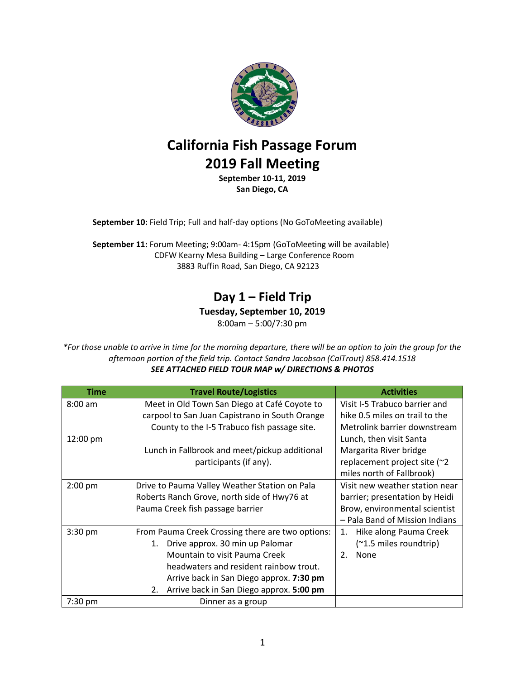

# **California Fish Passage Forum 2019 Fall Meeting**

**September 10-11, 2019 San Diego, CA**

**September 10:** Field Trip; Full and half-day options (No GoToMeeting available)

**September 11:** Forum Meeting; 9:00am- 4:15pm (GoToMeeting will be available) CDFW Kearny Mesa Building – Large Conference Room 3883 Ruffin Road, San Diego, CA 92123

### **Day 1 – Field Trip**

**Tuesday, September 10, 2019**

8:00am – 5:00/7:30 pm

*\*For those unable to arrive in time for the morning departure, there will be an option to join the group for the afternoon portion of the field trip. Contact Sandra Jacobson (CalTrout) 858.414.1518 SEE ATTACHED FIELD TOUR MAP w/ DIRECTIONS & PHOTOS*

| Time      | <b>Travel Route/Logistics</b>                    | <b>Activities</b>              |
|-----------|--------------------------------------------------|--------------------------------|
| $8:00$ am | Meet in Old Town San Diego at Café Coyote to     | Visit I-5 Trabuco barrier and  |
|           | carpool to San Juan Capistrano in South Orange   | hike 0.5 miles on trail to the |
|           | County to the I-5 Trabuco fish passage site.     | Metrolink barrier downstream   |
| 12:00 pm  |                                                  | Lunch, then visit Santa        |
|           | Lunch in Fallbrook and meet/pickup additional    | Margarita River bridge         |
|           | participants (if any).                           | replacement project site (~2   |
|           |                                                  | miles north of Fallbrook)      |
| $2:00$ pm | Drive to Pauma Valley Weather Station on Pala    | Visit new weather station near |
|           | Roberts Ranch Grove, north side of Hwy76 at      | barrier; presentation by Heidi |
|           | Pauma Creek fish passage barrier                 | Brow, environmental scientist  |
|           |                                                  | - Pala Band of Mission Indians |
| 3:30 pm   | From Pauma Creek Crossing there are two options: | Hike along Pauma Creek<br>1.   |
|           | Drive approx. 30 min up Palomar<br>1.            | (~1.5 miles roundtrip)         |
|           | Mountain to visit Pauma Creek                    | None<br>2.                     |
|           | headwaters and resident rainbow trout.           |                                |
|           | Arrive back in San Diego approx. 7:30 pm         |                                |
|           | Arrive back in San Diego approx. 5:00 pm<br>2.   |                                |
| $7:30$ pm | Dinner as a group                                |                                |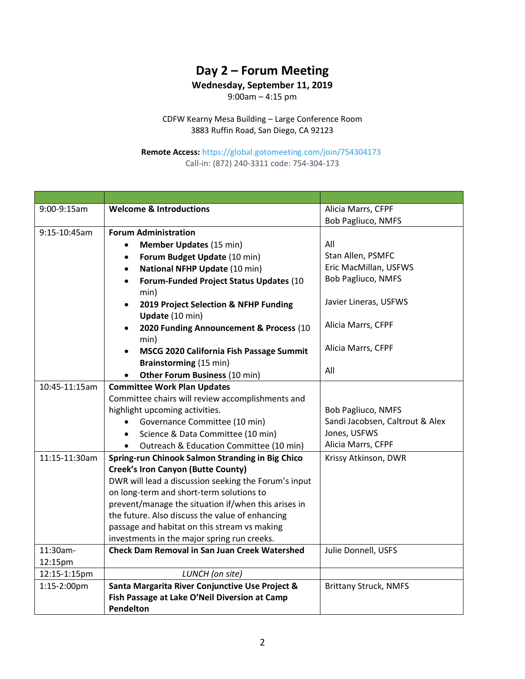## **Day 2 – Forum Meeting**

#### **Wednesday, September 11, 2019**

9:00am – 4:15 pm

CDFW Kearny Mesa Building – Large Conference Room 3883 Ruffin Road, San Diego, CA 92123

#### **Remote Access:** <https://global.gotomeeting.com/join/754304173> Call-in: (872) 240-3311 code: 754-304-173

| 9:00-9:15am   | <b>Welcome &amp; Introductions</b>                   | Alicia Marrs, CFPF              |
|---------------|------------------------------------------------------|---------------------------------|
|               |                                                      | <b>Bob Pagliuco, NMFS</b>       |
| 9:15-10:45am  | <b>Forum Administration</b>                          |                                 |
|               | <b>Member Updates (15 min)</b>                       | All                             |
|               | Forum Budget Update (10 min)                         | Stan Allen, PSMFC               |
|               | National NFHP Update (10 min)                        | Eric MacMillan, USFWS           |
|               | Forum-Funded Project Status Updates (10              | <b>Bob Pagliuco, NMFS</b>       |
|               | min)                                                 |                                 |
|               | 2019 Project Selection & NFHP Funding<br>$\bullet$   | Javier Lineras, USFWS           |
|               | Update (10 min)                                      |                                 |
|               | 2020 Funding Announcement & Process (10              | Alicia Marrs, CFPF              |
|               | min)                                                 |                                 |
|               | MSCG 2020 California Fish Passage Summit             | Alicia Marrs, CFPF              |
|               | <b>Brainstorming (15 min)</b>                        |                                 |
|               | Other Forum Business (10 min)                        | All                             |
| 10:45-11:15am | <b>Committee Work Plan Updates</b>                   |                                 |
|               | Committee chairs will review accomplishments and     |                                 |
|               | highlight upcoming activities.                       | <b>Bob Pagliuco, NMFS</b>       |
|               | Governance Committee (10 min)<br>$\bullet$           | Sandi Jacobsen, Caltrout & Alex |
|               | Science & Data Committee (10 min)<br>$\bullet$       | Jones, USFWS                    |
|               | Outreach & Education Committee (10 min)              | Alicia Marrs, CFPF              |
| 11:15-11:30am | Spring-run Chinook Salmon Stranding in Big Chico     | Krissy Atkinson, DWR            |
|               | <b>Creek's Iron Canyon (Butte County)</b>            |                                 |
|               | DWR will lead a discussion seeking the Forum's input |                                 |
|               | on long-term and short-term solutions to             |                                 |
|               | prevent/manage the situation if/when this arises in  |                                 |
|               | the future. Also discuss the value of enhancing      |                                 |
|               | passage and habitat on this stream vs making         |                                 |
|               | investments in the major spring run creeks.          |                                 |
| 11:30am-      | <b>Check Dam Removal in San Juan Creek Watershed</b> | Julie Donnell, USFS             |
| 12:15pm       |                                                      |                                 |
| 12:15-1:15pm  | LUNCH (on site)                                      |                                 |
| 1:15-2:00pm   | Santa Margarita River Conjunctive Use Project &      | <b>Brittany Struck, NMFS</b>    |
|               | Fish Passage at Lake O'Neil Diversion at Camp        |                                 |
|               | Pendelton                                            |                                 |